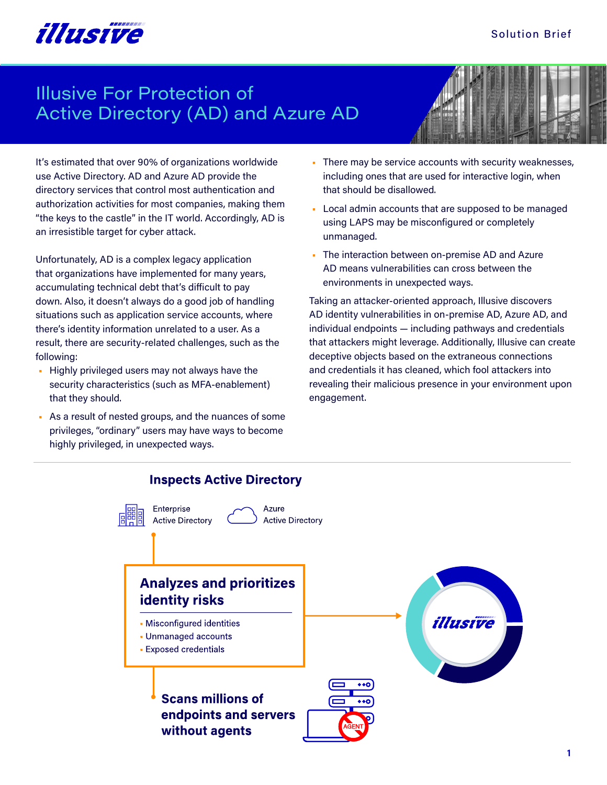### Solution Brief



# Illusive For Protection of Active Directory (AD) and Azure AD



It's estimated that over 90% of organizations worldwide use Active Directory. AD and Azure AD provide the directory services that control most authentication and authorization activities for most companies, making them "the keys to the castle" in the IT world. Accordingly, AD is an irresistible target for cyber attack.

Unfortunately, AD is a complex legacy application that organizations have implemented for many years, accumulating technical debt that's difficult to pay down. Also, it doesn't always do a good job of handling situations such as application service accounts, where there's identity information unrelated to a user. As a result, there are security-related challenges, such as the following:

- Highly privileged users may not always have the security characteristics (such as MFA-enablement) that they should.
- As a result of nested groups, and the nuances of some privileges, "ordinary" users may have ways to become highly privileged, in unexpected ways.
- There may be service accounts with security weaknesses, including ones that are used for interactive login, when that should be disallowed.
- Local admin accounts that are supposed to be managed using LAPS may be misconfigured or completely unmanaged.
- The interaction between on-premise AD and Azure AD means vulnerabilities can cross between the environments in unexpected ways.

Taking an attacker-oriented approach, Illusive discovers AD identity vulnerabilities in on-premise AD, Azure AD, and individual endpoints — including pathways and credentials that attackers might leverage. Additionally, Illusive can create deceptive objects based on the extraneous connections and credentials it has cleaned, which fool attackers into revealing their malicious presence in your environment upon engagement.